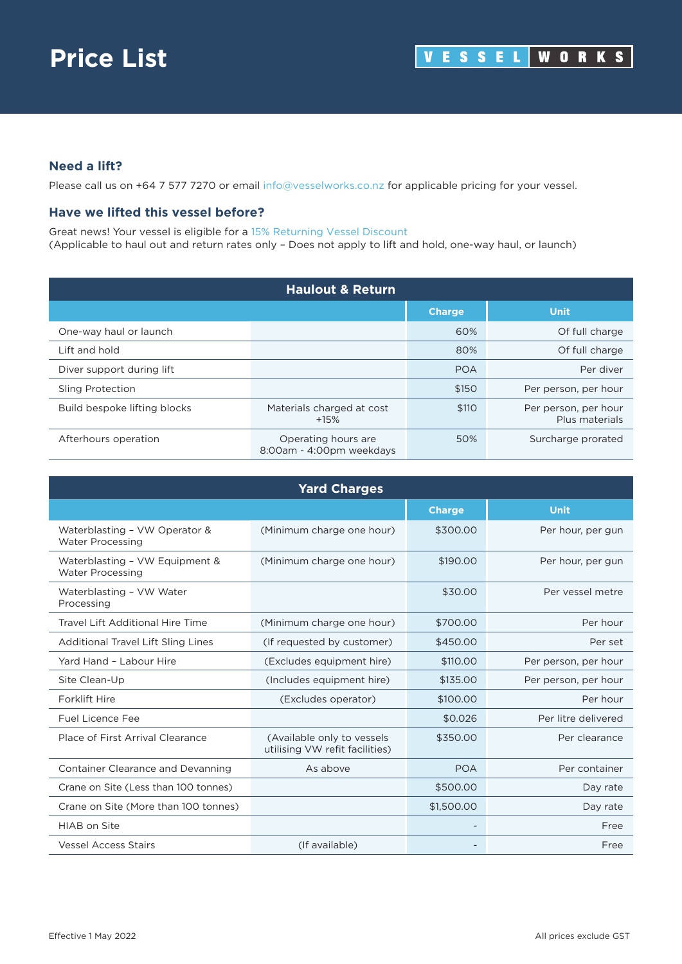## **Need a lift?**

Please call us on +64 7 577 7270 or email [info@vesselworks.co.nz](mailto:info@vesselworks.co.nz) for applicable pricing for your vessel.

## **Have we lifted this vessel before?**

Great news! Your vessel is eligible for a 15% Returning Vessel Discount (Applicable to haul out and return rates only – Does not apply to lift and hold, one-way haul, or launch)

| <b>Haulout &amp; Return</b>  |                                                 |               |                                        |
|------------------------------|-------------------------------------------------|---------------|----------------------------------------|
|                              |                                                 | <b>Charge</b> | <b>Unit</b>                            |
| One-way haul or launch       |                                                 | 60%           | Of full charge                         |
| Lift and hold                |                                                 | 80%           | Of full charge                         |
| Diver support during lift    |                                                 | <b>POA</b>    | Per diver                              |
| <b>Sling Protection</b>      |                                                 | \$150         | Per person, per hour                   |
| Build bespoke lifting blocks | Materials charged at cost<br>$+15%$             | \$110         | Per person, per hour<br>Plus materials |
| Afterhours operation         | Operating hours are<br>8:00am - 4:00pm weekdays | 50%           | Surcharge prorated                     |

| <b>Yard Charges</b>                                       |                                                              |               |                      |
|-----------------------------------------------------------|--------------------------------------------------------------|---------------|----------------------|
|                                                           |                                                              | <b>Charge</b> | <b>Unit</b>          |
| Waterblasting - VW Operator &<br><b>Water Processing</b>  | (Minimum charge one hour)                                    | \$300.00      | Per hour, per gun    |
| Waterblasting - VW Equipment &<br><b>Water Processing</b> | (Minimum charge one hour)                                    | \$190.00      | Per hour, per gun    |
| Waterblasting - VW Water<br>Processing                    |                                                              | \$30.00       | Per vessel metre     |
| Travel Lift Additional Hire Time                          | (Minimum charge one hour)                                    | \$700.00      | Per hour             |
| <b>Additional Travel Lift Sling Lines</b>                 | (If requested by customer)                                   | \$450.00      | Per set              |
| Yard Hand - Labour Hire                                   | (Excludes equipment hire)                                    | \$110,00      | Per person, per hour |
| Site Clean-Up                                             | (Includes equipment hire)                                    | \$135,00      | Per person, per hour |
| <b>Forklift Hire</b>                                      | (Excludes operator)                                          | \$100.00      | Per hour             |
| Fuel Licence Fee                                          |                                                              | \$0,026       | Per litre delivered  |
| Place of First Arrival Clearance                          | (Available only to vessels<br>utilising VW refit facilities) | \$350.00      | Per clearance        |
| Container Clearance and Devanning                         | As above                                                     | <b>POA</b>    | Per container        |
| Crane on Site (Less than 100 tonnes)                      |                                                              | \$500.00      | Day rate             |
| Crane on Site (More than 100 tonnes)                      |                                                              | \$1,500.00    | Day rate             |
| <b>HIAB</b> on Site                                       |                                                              |               | Free                 |
| <b>Vessel Access Stairs</b>                               | (If available)                                               |               | Free                 |